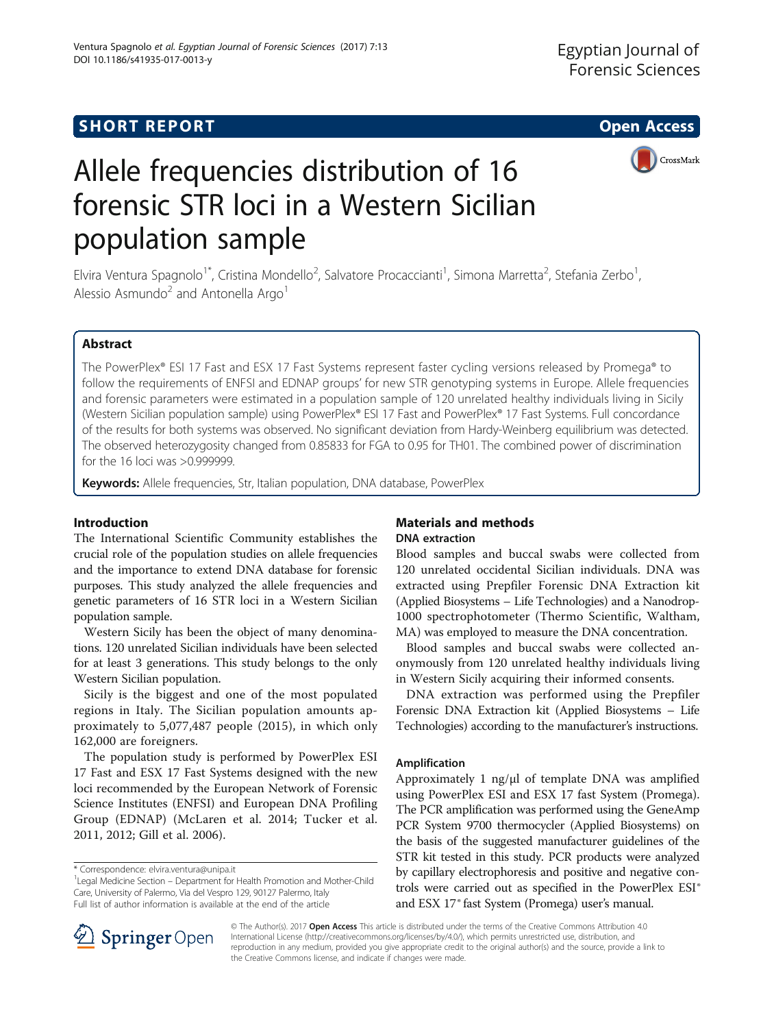

# Allele frequencies distribution of 16 forensic STR loci in a Western Sicilian population sample

Elvira Ventura Spagnolo<sup>1\*</sup>, Cristina Mondello<sup>2</sup>, Salvatore Procaccianti<sup>1</sup>, Simona Marretta<sup>2</sup>, Stefania Zerbo<sup>1</sup> , Alessio Asmundo<sup>2</sup> and Antonella Argo<sup>1</sup>

# Abstract

The PowerPlex® ESI 17 Fast and ESX 17 Fast Systems represent faster cycling versions released by Promega® to follow the requirements of ENFSI and EDNAP groups' for new STR genotyping systems in Europe. Allele frequencies and forensic parameters were estimated in a population sample of 120 unrelated healthy individuals living in Sicily (Western Sicilian population sample) using PowerPlex® ESI 17 Fast and PowerPlex® 17 Fast Systems. Full concordance of the results for both systems was observed. No significant deviation from Hardy-Weinberg equilibrium was detected. The observed heterozygosity changed from 0.85833 for FGA to 0.95 for TH01. The combined power of discrimination for the 16 loci was >0.999999.

Keywords: Allele frequencies, Str, Italian population, DNA database, PowerPlex

# Introduction

The International Scientific Community establishes the crucial role of the population studies on allele frequencies and the importance to extend DNA database for forensic purposes. This study analyzed the allele frequencies and genetic parameters of 16 STR loci in a Western Sicilian population sample.

Western Sicily has been the object of many denominations. 120 unrelated Sicilian individuals have been selected for at least 3 generations. This study belongs to the only Western Sicilian population.

Sicily is the biggest and one of the most populated regions in Italy. The Sicilian population amounts approximately to 5,077,487 people (2015), in which only 162,000 are foreigners.

The population study is performed by PowerPlex ESI 17 Fast and ESX 17 Fast Systems designed with the new loci recommended by the European Network of Forensic Science Institutes (ENFSI) and European DNA Profiling Group (EDNAP) (McLaren et al. [2014](#page-4-0); Tucker et al. [2011, 2012;](#page-4-0) Gill et al. [2006](#page-4-0)).

# Materials and methods DNA extraction

Blood samples and buccal swabs were collected from 120 unrelated occidental Sicilian individuals. DNA was extracted using Prepfiler Forensic DNA Extraction kit (Applied Biosystems – Life Technologies) and a Nanodrop-1000 spectrophotometer (Thermo Scientific, Waltham, MA) was employed to measure the DNA concentration.

Blood samples and buccal swabs were collected anonymously from 120 unrelated healthy individuals living in Western Sicily acquiring their informed consents.

DNA extraction was performed using the Prepfiler Forensic DNA Extraction kit (Applied Biosystems – Life Technologies) according to the manufacturer's instructions.

## Amplification

Approximately 1 ng/μl of template DNA was amplified using PowerPlex ESI and ESX 17 fast System (Promega). The PCR amplification was performed using the GeneAmp PCR System 9700 thermocycler (Applied Biosystems) on the basis of the suggested manufacturer guidelines of the STR kit tested in this study. PCR products were analyzed by capillary electrophoresis and positive and negative controls were carried out as specified in the PowerPlex ESI® and ESX 17® fast System (Promega) user's manual.



© The Author(s). 2017 Open Access This article is distributed under the terms of the Creative Commons Attribution 4.0 International License ([http://creativecommons.org/licenses/by/4.0/\)](http://creativecommons.org/licenses/by/4.0/), which permits unrestricted use, distribution, and reproduction in any medium, provided you give appropriate credit to the original author(s) and the source, provide a link to the Creative Commons license, and indicate if changes were made.

<sup>\*</sup> Correspondence: [elvira.ventura@unipa.it](mailto:elvira.ventura@unipa.it) <sup>1</sup>

<sup>&</sup>lt;sup>1</sup> Legal Medicine Section – Department for Health Promotion and Mother-Child Care, University of Palermo, Via del Vespro 129, 90127 Palermo, Italy Full list of author information is available at the end of the article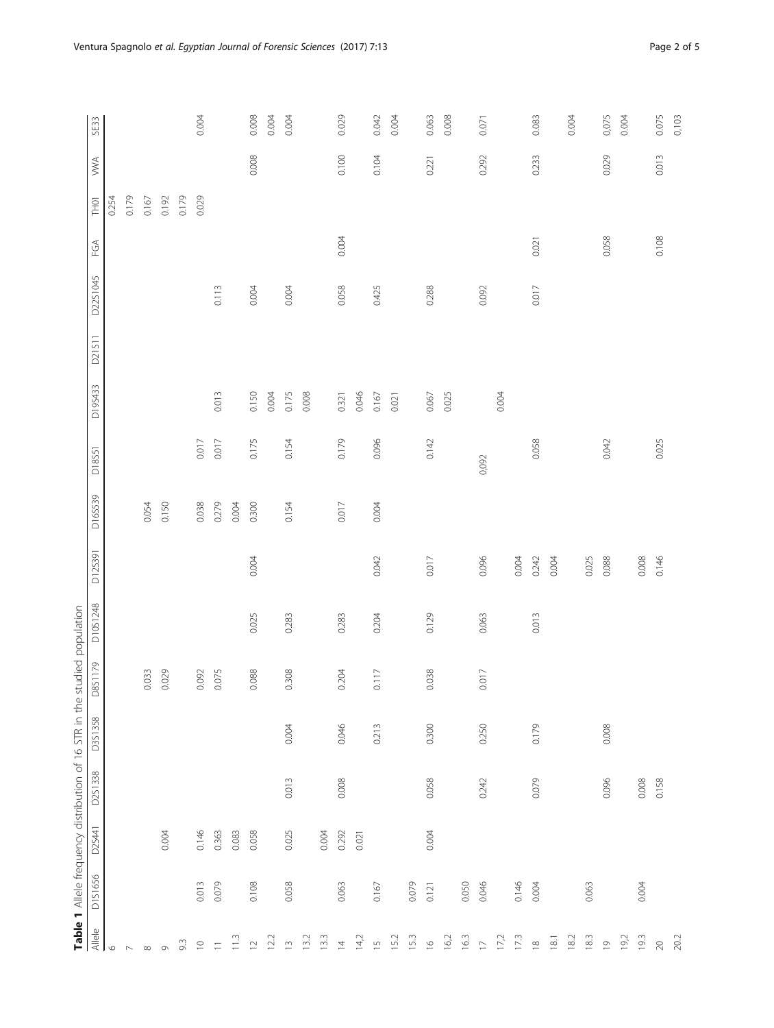<span id="page-1-0"></span>

|                          |         |        | Table 1 Allele frequency distribution of 16 STR in the studied population |         |         |          |         |         |       |         |        |          |       |       |       |       |
|--------------------------|---------|--------|---------------------------------------------------------------------------|---------|---------|----------|---------|---------|-------|---------|--------|----------|-------|-------|-------|-------|
| $\frac{A}{B}$            | D1S1656 | D2S441 | D2S1338                                                                   | D3S1358 | D8S1179 | D10S1248 | D125391 | D16S539 | D1851 | D19S433 | D21S11 | D22S1045 | FGA   | TH01  | ≫Х    | SE33  |
| $\circ$                  |         |        |                                                                           |         |         |          |         |         |       |         |        |          |       | 0.254 |       |       |
| $\overline{\phantom{a}}$ |         |        |                                                                           |         |         |          |         |         |       |         |        |          |       | 0.179 |       |       |
| $\infty$                 |         |        |                                                                           |         | 0.033   |          |         | 0.054   |       |         |        |          |       | 0.167 |       |       |
| $\sigma$                 |         | 0.004  |                                                                           |         | 0.029   |          |         | 0.150   |       |         |        |          |       | 0.192 |       |       |
| 9.3                      |         |        |                                                                           |         |         |          |         |         |       |         |        |          |       | 0.179 |       |       |
| $\supseteq$              | 0.013   | 0.146  |                                                                           |         | 0.092   |          |         | 0.038   | 0.017 |         |        |          |       | 0.029 |       | 0.004 |
| $\overline{-}$           | 0.079   | 0.363  |                                                                           |         | 0.075   |          |         | 0.279   | 0.017 | 0.013   |        | 0.113    |       |       |       |       |
| 11.3                     |         | 0.083  |                                                                           |         |         |          |         | 0.004   |       |         |        |          |       |       |       |       |
| $\simeq$                 | 0.108   | 0.058  |                                                                           |         | 0.088   | 0.025    | 0.004   | 0.300   | 0.175 | 0.150   |        | 0.004    |       |       | 0.008 | 0.008 |
| 12.2                     |         |        |                                                                           |         |         |          |         |         |       | 0.004   |        |          |       |       |       | 0.004 |
| $\overline{\mathbb{C}}$  | 0.058   | 0.025  | 0.013                                                                     | 0.004   | 0.308   | 0.283    |         | 0.154   | 0.154 | 0.175   |        | 0.004    |       |       |       | 0.004 |
| 13.2                     |         |        |                                                                           |         |         |          |         |         |       | 0.008   |        |          |       |       |       |       |
| 13.3                     |         | 0.004  |                                                                           |         |         |          |         |         |       |         |        |          |       |       |       |       |
| $\overline{z}$           | 0.063   | 0.292  | 0.008                                                                     | 0.046   | 0.204   | 0.283    |         | 0.017   | 0.179 | 0.321   |        | 0.058    | 0.004 |       | 0.100 | 0.029 |
| 14,2                     |         | 0.021  |                                                                           |         |         |          |         |         |       | 0.046   |        |          |       |       |       |       |
| $\overline{1}$           | 0.167   |        |                                                                           | 0.213   | 0.117   | 0.204    | 0.042   | 0.004   | 0.096 | 0.167   |        | 0.425    |       |       | 0.104 | 0.042 |
| 15.2                     |         |        |                                                                           |         |         |          |         |         |       | 0.021   |        |          |       |       |       | 0.004 |
| 15.3                     | 0.079   |        |                                                                           |         |         |          |         |         |       |         |        |          |       |       |       |       |
| $\overline{\mathcal{O}}$ | 0.121   | 0.004  | 0.058                                                                     | 0.300   | 0.038   | 0.129    | 0.017   |         | 0.142 | 0.067   |        | 0.288    |       |       | 0.221 | 0.063 |
| 16,2                     |         |        |                                                                           |         |         |          |         |         |       | 0.025   |        |          |       |       |       | 0.008 |
| 16.3                     | 0.050   |        |                                                                           |         |         |          |         |         |       |         |        |          |       |       |       |       |
| $\overline{\phantom{0}}$ | 0.046   |        | 0.242                                                                     | 0.250   | 0.017   | 0.063    | 0.096   |         | 0,092 |         |        | 0.092    |       |       | 0.292 | 0.071 |
| 17,2                     |         |        |                                                                           |         |         |          |         |         |       | 0.004   |        |          |       |       |       |       |
| 17.3                     | 0.146   |        |                                                                           |         |         |          | 0.004   |         |       |         |        |          |       |       |       |       |
| $\overset{\infty}{=}$    | 0.004   |        | 0.079                                                                     | 0.179   |         | 0.013    | 0.242   |         | 0.058 |         |        | 0.017    | 0.021 |       | 0.233 | 0.083 |
| $18.1\,$                 |         |        |                                                                           |         |         |          | 0.004   |         |       |         |        |          |       |       |       |       |
| 18.2                     |         |        |                                                                           |         |         |          |         |         |       |         |        |          |       |       |       | 0.004 |
| 18.3                     | 0.063   |        |                                                                           |         |         |          | 0.025   |         |       |         |        |          |       |       |       |       |
| $\overline{0}$           |         |        | 0.096                                                                     | 0.008   |         |          | 0.088   |         | 0.042 |         |        |          | 0.058 |       | 0.029 | 0,075 |
| 19,2                     |         |        |                                                                           |         |         |          |         |         |       |         |        |          |       |       |       | 0.004 |
| 19.3                     | 0.004   |        | 0.008                                                                     |         |         |          | 0.008   |         |       |         |        |          |       |       |       |       |
| $20\,$                   |         |        | 0.158                                                                     |         |         |          | 0.146   |         | 0.025 |         |        |          | 0.108 |       | 0.013 | 0.075 |
| 20.2                     |         |        |                                                                           |         |         |          |         |         |       |         |        |          |       |       |       | 0,103 |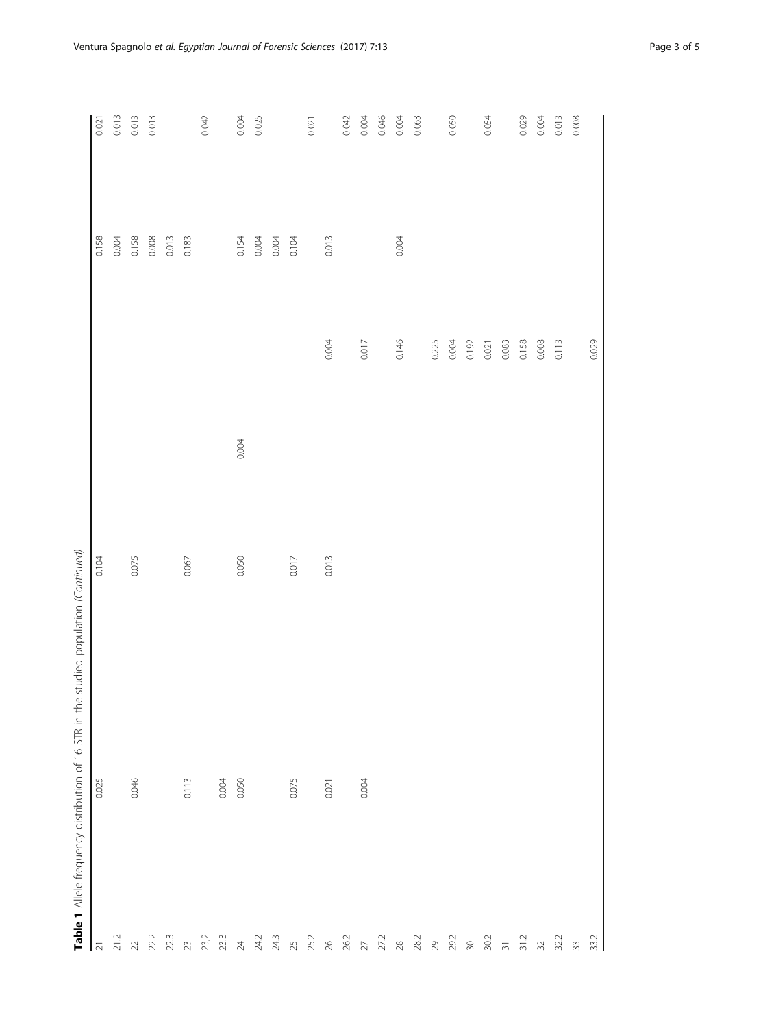|                                                                  | Table 1 Allele frequency distribution of 16 STR in the studied population (Continued) |       |       |       |       |       |
|------------------------------------------------------------------|---------------------------------------------------------------------------------------|-------|-------|-------|-------|-------|
| $\overline{\mathfrak{L}}$                                        | 0.025                                                                                 | 0.104 |       |       | 0.158 | 0.021 |
| 21.2                                                             |                                                                                       |       |       |       | 0.004 | 0.013 |
| $\geq$                                                           | 0.046                                                                                 | 0.075 |       |       | 0.158 | 0.013 |
| 22.2                                                             |                                                                                       |       |       |       | 0.008 | 0.013 |
| 22.3                                                             |                                                                                       |       |       |       | 0.013 |       |
| $\gtrsim$                                                        | 0.113                                                                                 | 0.067 |       |       | 0.183 |       |
| 23,2<br>23.3                                                     |                                                                                       |       |       |       |       | 0.042 |
|                                                                  | 0.004                                                                                 |       |       |       |       |       |
| $\overline{2}4$                                                  | 0.050                                                                                 | 0.050 | 0.004 |       | 0.154 | 0.004 |
| 24.2                                                             |                                                                                       |       |       |       | 0.004 | 0.025 |
| 24.3                                                             |                                                                                       |       |       |       | 0.004 |       |
| 25<br>25.2                                                       | 0.075                                                                                 | 0.017 |       |       | 0.104 |       |
|                                                                  |                                                                                       |       |       |       |       | 0.021 |
| $\gtrsim$                                                        | 0.021                                                                                 | 0.013 |       | 0.004 | 0.013 |       |
| 26.2                                                             |                                                                                       |       |       |       |       | 0.042 |
| $\gtrsim$                                                        | 0.004                                                                                 |       |       | 0.017 |       | 0.004 |
| 27.2                                                             |                                                                                       |       |       |       |       | 0.046 |
| $28\,$                                                           |                                                                                       |       |       | 0.146 | 0.004 | 0.004 |
| 28.2                                                             |                                                                                       |       |       |       |       | 0.063 |
| 29<br>29.2                                                       |                                                                                       |       |       | 0.225 |       |       |
|                                                                  |                                                                                       |       |       | 0.004 |       | 0.050 |
| $30$                                                             |                                                                                       |       |       | 0.192 |       |       |
| 30.2                                                             |                                                                                       |       |       | 0.021 |       | 0.054 |
|                                                                  |                                                                                       |       |       | 0.083 |       |       |
| $\frac{1}{2}$                                                    |                                                                                       |       |       | 0.158 |       | 0.029 |
|                                                                  |                                                                                       |       |       | 0.008 |       | 0.004 |
|                                                                  |                                                                                       |       |       | 0.113 |       | 0.013 |
| $\begin{array}{ccc}\n 32 & 2 \\ 32 & 33 \\ 33 & 2\n \end{array}$ |                                                                                       |       |       |       |       | 0.008 |
|                                                                  |                                                                                       |       |       | 0.029 |       |       |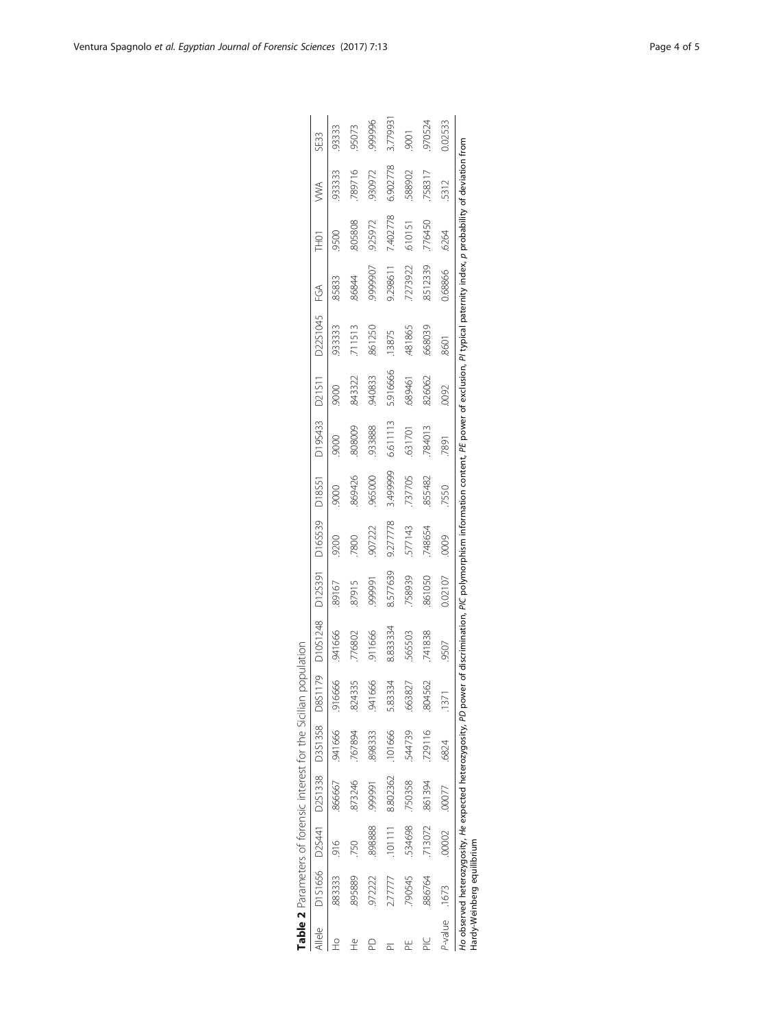<span id="page-3-0"></span>

|                |                            |         |               | Table 2 Parameters of forensic interest for the Sicilian p |         | nopulation                                                                                                                                                                                                   |          |                        |          |          |          |          |                |          |          |         |
|----------------|----------------------------|---------|---------------|------------------------------------------------------------|---------|--------------------------------------------------------------------------------------------------------------------------------------------------------------------------------------------------------------|----------|------------------------|----------|----------|----------|----------|----------------|----------|----------|---------|
| Allele         |                            |         |               | D1S1656 D2S441 D2S1338 D3S1358 D8S1                        | 179     | D10S1248                                                                                                                                                                                                     |          | D12S391 D16S539 D18S51 |          | D195433  | D21S11   | D2251045 | $\mathfrak{S}$ | THO1     | ≫<br>>   | SE33    |
| 오              | 883333                     | $-916$  |               | 866667 .941666                                             | 916666  | 941666                                                                                                                                                                                                       | 89167    | 9200                   |          |          |          | 93333    | 85833          | 9500     | 93333    | 93333   |
| $\mathbb{R}^2$ | 895889                     | .750    | 873246        | .767894                                                    | 824335  | 776802                                                                                                                                                                                                       | 87915    | 7800                   | 869426   | 808009   | 843322   | 711513   | 86844          | 805808   | 789716   | 95073   |
|                | 972222                     | 898888. | 16666         | .898333                                                    | 941666  | 911666                                                                                                                                                                                                       | 16666    | 907222                 | .965000  | 933888   | 940833   | 861250   | 9999907        | 925972   | 930972   | 999996  |
|                | 2.7777                     | .101111 | 8.802362      | .101666                                                    | 5.83334 | 8.83334                                                                                                                                                                                                      | 8.577639 | 9.277778               | 3.499999 | 6.611113 | 5.916666 | 13875    | 9.298611       | 7.402778 | 6.902778 | 3.77993 |
|                | 790545                     | 534698  | .750358       | 544739                                                     | .663827 | 565503                                                                                                                                                                                                       | 758939   | 577143                 | 737705   | .631701  | .689461  | 481865   | 7273922        | G10151   | 588902   | 9001    |
|                | 886764                     | 713072  | 861394        | 729116                                                     | 804562  | 741838                                                                                                                                                                                                       | 861050   | 748654                 | .855482  | 784013   | 826062   | 668039   | 8512339        | 776450   | 758317   | 970524  |
|                | P-value .1673              |         | .00002 .00077 | .6824                                                      | .1371   | 9507                                                                                                                                                                                                         | 0.02107  | 0009                   | 7550     | 7891     | .0092    | 8601     | 0.68866        | .6264    | 5312     | 0.02533 |
|                | Hardy-Weinberg equilibrium |         |               |                                                            |         | Ho observed heterozygosity, He expected heterozygosity, PD power of discrimination, PIC polymorphism information content, PE power of exclusion, PI typical paternity index, p probability of deviation from |          |                        |          |          |          |          |                |          |          |         |

| ٠<br>ļ<br>l<br>J                                   |
|----------------------------------------------------|
| I                                                  |
| ļ<br>ة<br>وكان<br>١                                |
| i<br>j<br>j<br>I                                   |
| J<br>j                                             |
| J                                                  |
| I<br>I<br>ł                                        |
| 10 <sup>1</sup><br>l<br>١<br>J<br>י<br>ו<br>J<br>I |
| $\frac{1}{1}$<br>ţ<br>j                            |
| ١<br>a compared to the company<br>j<br>J<br>I<br>Í |
| ı                                                  |
| I<br>í                                             |